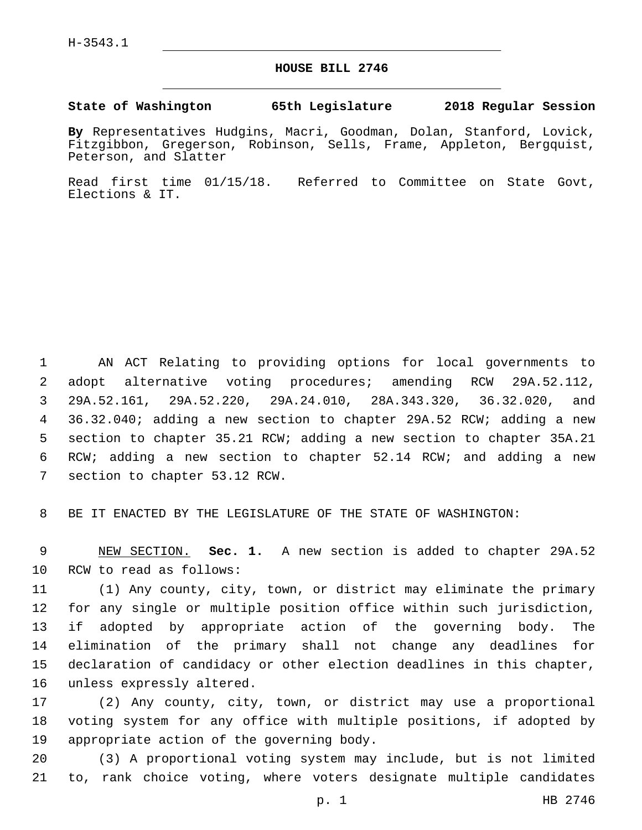## **HOUSE BILL 2746**

## **State of Washington 65th Legislature 2018 Regular Session**

**By** Representatives Hudgins, Macri, Goodman, Dolan, Stanford, Lovick, Fitzgibbon, Gregerson, Robinson, Sells, Frame, Appleton, Bergquist, Peterson, and Slatter

Read first time 01/15/18. Referred to Committee on State Govt, Elections & IT.

 AN ACT Relating to providing options for local governments to adopt alternative voting procedures; amending RCW 29A.52.112, 29A.52.161, 29A.52.220, 29A.24.010, 28A.343.320, 36.32.020, and 36.32.040; adding a new section to chapter 29A.52 RCW; adding a new section to chapter 35.21 RCW; adding a new section to chapter 35A.21 RCW; adding a new section to chapter 52.14 RCW; and adding a new 7 section to chapter 53.12 RCW.

8 BE IT ENACTED BY THE LEGISLATURE OF THE STATE OF WASHINGTON:

9 NEW SECTION. **Sec. 1.** A new section is added to chapter 29A.52 10 RCW to read as follows:

 (1) Any county, city, town, or district may eliminate the primary for any single or multiple position office within such jurisdiction, if adopted by appropriate action of the governing body. The elimination of the primary shall not change any deadlines for declaration of candidacy or other election deadlines in this chapter, 16 unless expressly altered.

17 (2) Any county, city, town, or district may use a proportional 18 voting system for any office with multiple positions, if adopted by 19 appropriate action of the governing body.

20 (3) A proportional voting system may include, but is not limited 21 to, rank choice voting, where voters designate multiple candidates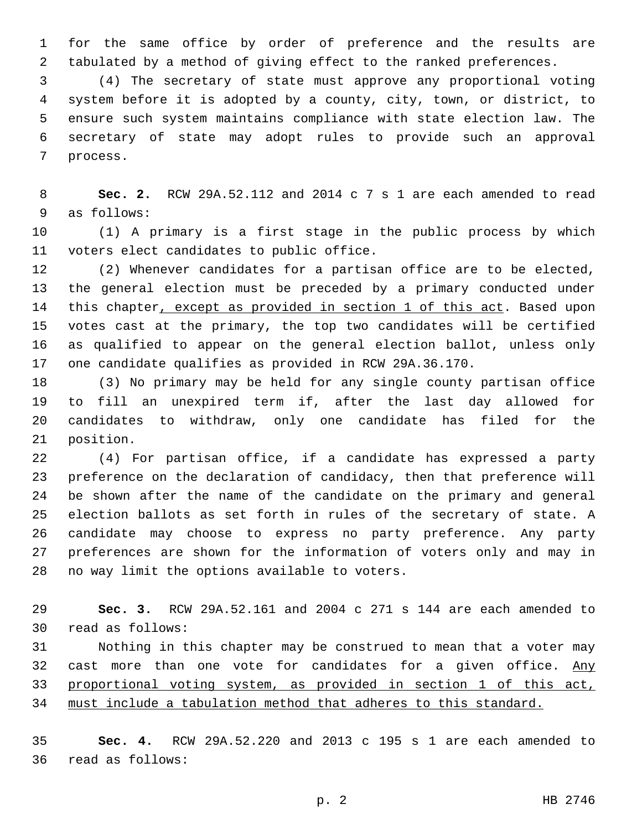for the same office by order of preference and the results are tabulated by a method of giving effect to the ranked preferences.

 (4) The secretary of state must approve any proportional voting system before it is adopted by a county, city, town, or district, to ensure such system maintains compliance with state election law. The secretary of state may adopt rules to provide such an approval 7 process.

 **Sec. 2.** RCW 29A.52.112 and 2014 c 7 s 1 are each amended to read 9 as follows:

 (1) A primary is a first stage in the public process by which 11 voters elect candidates to public office.

 (2) Whenever candidates for a partisan office are to be elected, the general election must be preceded by a primary conducted under this chapter, except as provided in section 1 of this act. Based upon votes cast at the primary, the top two candidates will be certified as qualified to appear on the general election ballot, unless only one candidate qualifies as provided in RCW 29A.36.170.

 (3) No primary may be held for any single county partisan office to fill an unexpired term if, after the last day allowed for candidates to withdraw, only one candidate has filed for the 21 position.

 (4) For partisan office, if a candidate has expressed a party preference on the declaration of candidacy, then that preference will be shown after the name of the candidate on the primary and general election ballots as set forth in rules of the secretary of state. A candidate may choose to express no party preference. Any party preferences are shown for the information of voters only and may in 28 no way limit the options available to voters.

 **Sec. 3.** RCW 29A.52.161 and 2004 c 271 s 144 are each amended to read as follows:30

 Nothing in this chapter may be construed to mean that a voter may 32 cast more than one vote for candidates for a given office. Any proportional voting system, as provided in section 1 of this act, must include a tabulation method that adheres to this standard.

 **Sec. 4.** RCW 29A.52.220 and 2013 c 195 s 1 are each amended to 36 read as follows: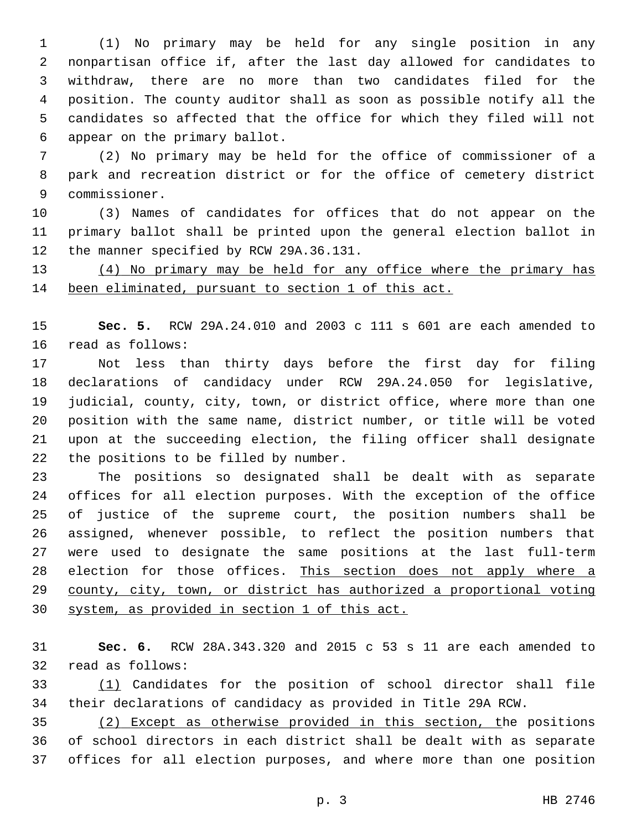(1) No primary may be held for any single position in any nonpartisan office if, after the last day allowed for candidates to withdraw, there are no more than two candidates filed for the position. The county auditor shall as soon as possible notify all the candidates so affected that the office for which they filed will not 6 appear on the primary ballot.

 (2) No primary may be held for the office of commissioner of a park and recreation district or for the office of cemetery district 9 commissioner.

 (3) Names of candidates for offices that do not appear on the primary ballot shall be printed upon the general election ballot in 12 the manner specified by RCW 29A.36.131.

 (4) No primary may be held for any office where the primary has been eliminated, pursuant to section 1 of this act.

 **Sec. 5.** RCW 29A.24.010 and 2003 c 111 s 601 are each amended to 16 read as follows:

 Not less than thirty days before the first day for filing declarations of candidacy under RCW 29A.24.050 for legislative, judicial, county, city, town, or district office, where more than one position with the same name, district number, or title will be voted upon at the succeeding election, the filing officer shall designate 22 the positions to be filled by number.

 The positions so designated shall be dealt with as separate offices for all election purposes. With the exception of the office of justice of the supreme court, the position numbers shall be assigned, whenever possible, to reflect the position numbers that were used to designate the same positions at the last full-term election for those offices. This section does not apply where a county, city, town, or district has authorized a proportional voting system, as provided in section 1 of this act.

 **Sec. 6.** RCW 28A.343.320 and 2015 c 53 s 11 are each amended to 32 read as follows:

 (1) Candidates for the position of school director shall file their declarations of candidacy as provided in Title 29A RCW.

 (2) Except as otherwise provided in this section, the positions of school directors in each district shall be dealt with as separate offices for all election purposes, and where more than one position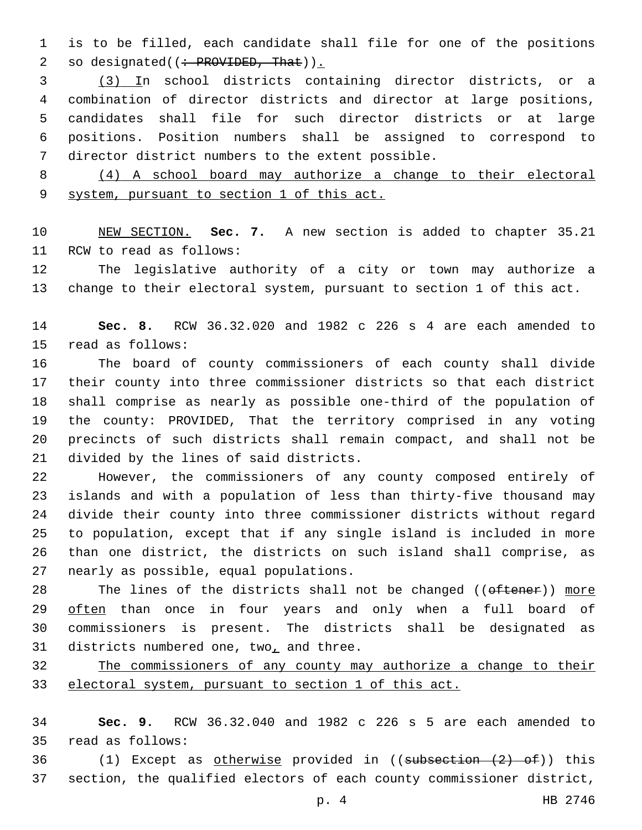is to be filled, each candidate shall file for one of the positions 2 so designated((: PROVIDED, That)).

 (3) In school districts containing director districts, or a combination of director districts and director at large positions, candidates shall file for such director districts or at large positions. Position numbers shall be assigned to correspond to 7 director district numbers to the extent possible.

 (4) A school board may authorize a change to their electoral system, pursuant to section 1 of this act.

 NEW SECTION. **Sec. 7.** A new section is added to chapter 35.21 11 RCW to read as follows:

 The legislative authority of a city or town may authorize a change to their electoral system, pursuant to section 1 of this act.

 **Sec. 8.** RCW 36.32.020 and 1982 c 226 s 4 are each amended to 15 read as follows:

 The board of county commissioners of each county shall divide their county into three commissioner districts so that each district shall comprise as nearly as possible one-third of the population of the county: PROVIDED, That the territory comprised in any voting precincts of such districts shall remain compact, and shall not be 21 divided by the lines of said districts.

 However, the commissioners of any county composed entirely of islands and with a population of less than thirty-five thousand may divide their county into three commissioner districts without regard to population, except that if any single island is included in more than one district, the districts on such island shall comprise, as 27 nearly as possible, equal populations.

28 The lines of the districts shall not be changed ((oftener)) more 29 often than once in four years and only when a full board of commissioners is present. The districts shall be designated as 31 districts numbered one, two, and three.

 The commissioners of any county may authorize a change to their electoral system, pursuant to section 1 of this act.

 **Sec. 9.** RCW 36.32.040 and 1982 c 226 s 5 are each amended to read as follows:35

 (1) Except as otherwise provided in ((subsection (2) of)) this section, the qualified electors of each county commissioner district,